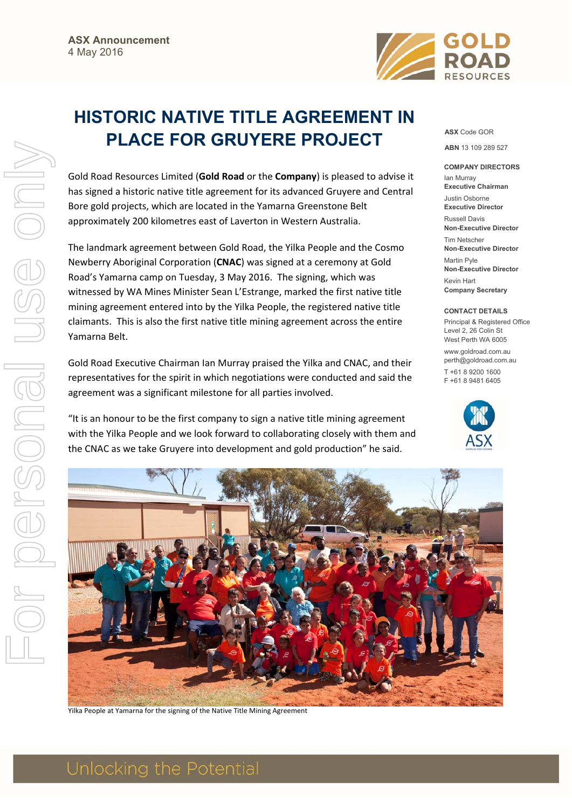

## **HISTORIC NATIVE TITLE AGREEMENT IN PLACE FOR GRUYERE PROJECT**

Gold Road Resources Limited (**Gold Road** or the **Company**) is pleased to advise it has signed a historic native title agreement for its advanced Gruyere and Central Bore gold projects, which are located in the Yamarna Greenstone Belt approximately 200 kilometres east of Laverton in Western Australia.

The landmark agreement between Gold Road, the Yilka People and the Cosmo Newberry Aboriginal Corporation (**CNAC**) was signed at a ceremony at Gold Road's Yamarna camp on Tuesday, 3 May 2016. The signing, which was witnessed by WA Mines Minister Sean L'Estrange, marked the first native title mining agreement entered into by the Yilka People, the registered native title claimants. This is also the first native title mining agreement across the entire Yamarna Belt.

Gold Road Executive Chairman Ian Murray praised the Yilka and CNAC, and their representatives for the spirit in which negotiations were conducted and said the agreement was a significant milestone for all parties involved.

"It is an honour to be the first company to sign a native title mining agreement with the Yilka People and we look forward to collaborating closely with them and the CNAC as we take Gruyere into development and gold production" he said.

**ASX** Code GOR

**ABN** 13 109 289 527

## **COMPANY DIRECTORS**

Ian Murray **Executive Chairman**  Justin Osborne **Executive Director**  Russell Davis **Non-Executive Director**  Tim Netscher **Non-Executive Director**  Martin Pyle **Non-Executive Director**  Kevin Hart **Company Secretary** 

## **CONTACT DETAILS**

Principal & Registered Office Level 2, 26 Colin St West Perth WA 6005 www.goldroad.com.au perth@goldroad.com.au T +61 8 9200 1600 F +61 8 9481 6405





Yilka People at Yamarna for the signing of the Native Title Mining Agreement

## Unlocking the Potential